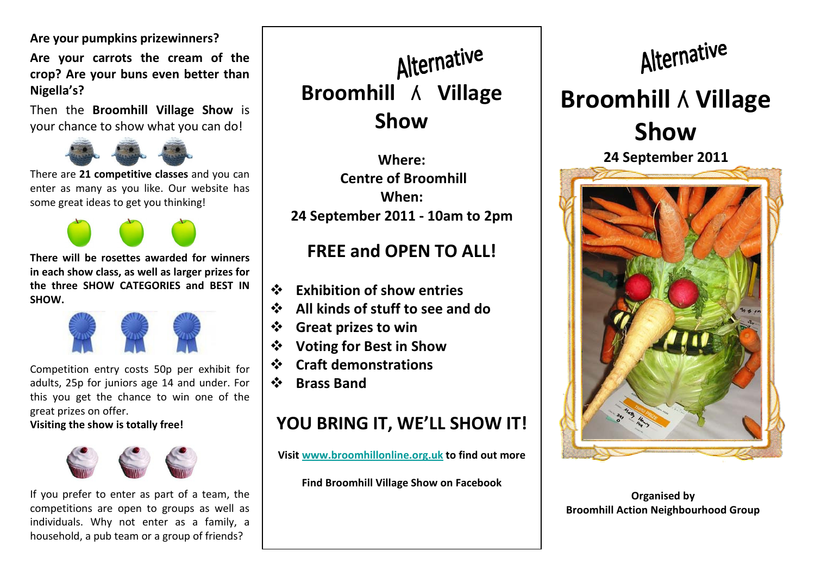Are your pumpkins prizewinners?

Are your carrots the cream of the crop? Are your buns even better than Nigella's?

Then the Broomhill Village Show is your chance to show what you can do!



There are 21 competitive classes and you can enter as many as you like. Our website has some great ideas to get you thinking!

There will be rosettes awarded for winners

in each show class, as well as larger prizes for the three SHOW CATEGORIES and BEST IN **SHOW.** 



Competition entry costs 50p per exhibit for adults, 25p for juniors age 14 and under. For this you get the chance to win one of the great prizes on offer.

Visiting the show is totally free!



If you prefer to enter as part of a team, the competitions are open to groups as well as individuals. Why not enter as a family, a household, a pub team or a group of friends?

Alternative Broomhill ʎ Village Show

Where: Centre of BroomhillWhen: 24 September 2011 - 10am to 2pm

#### FREE and OPEN TO ALL!

- ❖ Exhibition of show entries<br>❖ All kinds of stuff to see an
- $\frac{1}{2}$ All kinds of stuff to see and do
- ❖ Great prizes to win
- $\frac{1}{2}$ Voting for Best in Show
- $\frac{1}{2}$ Craft demonstrations
- $\frac{1}{2}$ Brass Band

## YOU BRING IT, WE'LL SHOW IT!

Visit <u>www.broomhillonline.org.uk</u> to find out more

Find Broomhill Village Show on Facebook

# Alternative Broomhill ʎ Village Show

24 September 2011



Organised by Broomhill Action Neighbourhood Group